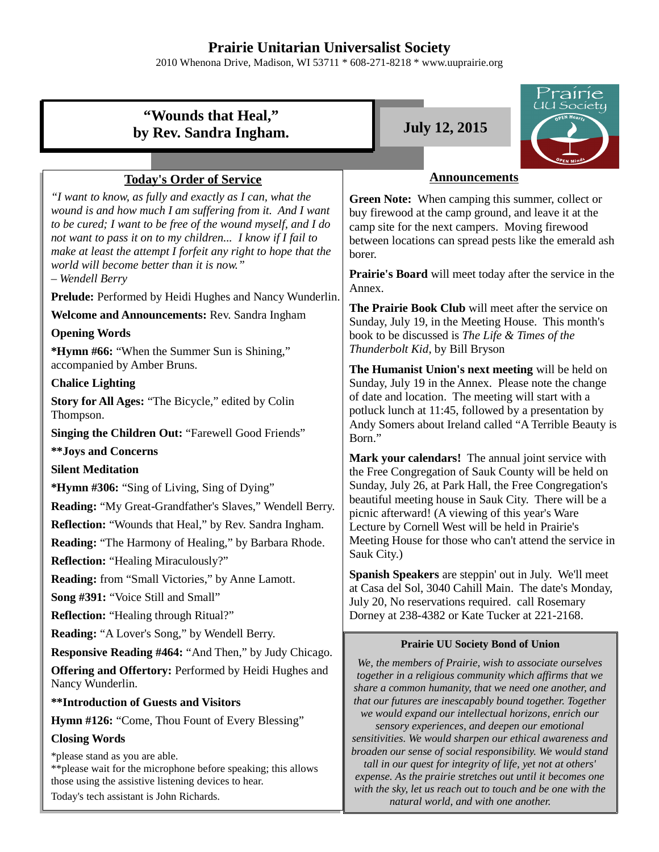# **Prairie Unitarian Universalist Society**

2010 Whenona Drive, Madison, WI 53711 \* 608-271-8218 \* www.uuprairie.org

#### rairie UU Society **"Wounds that Heal,"** by Rev. Sandra Ingham. **July 12, 2015 Announcements Today's Order of Service** *"I want to know, as fully and exactly as I can, what the* **Green Note:** When camping this summer, collect or *wound is and how much I am suffering from it. And I want* buy firewood at the camp ground, and leave it at the *to be cured; I want to be free of the wound myself, and I do* camp site for the next campers. Moving firewood *not want to pass it on to my children... I know if I fail to* between locations can spread pests like the emerald ash *make at least the attempt I forfeit any right to hope that the* borer. *world will become better than it is now."* **Prairie's Board** will meet today after the service in the *– Wendell Berry*  Annex. Prelude: Performed by Heidi Hughes and Nancy Wunderlin. **The Prairie Book Club** will meet after the service on **Welcome and Announcements:** Rev. Sandra Ingham Sunday, July 19, in the Meeting House. This month's **Opening Words** book to be discussed is *The Life & Times of the Thunderbolt Kid*, by Bill Bryson **\*Hymn #66:** "When the Summer Sun is Shining," accompanied by Amber Bruns. **The Humanist Union's next meeting** will be held on **Chalice Lighting** Sunday, July 19 in the Annex. Please note the change of date and location. The meeting will start with a **Story for All Ages:** "The Bicycle," edited by Colin potluck lunch at 11:45, followed by a presentation by Thompson. Andy Somers about Ireland called "A Terrible Beauty is **Singing the Children Out:** "Farewell Good Friends" Born." **\*\*Joys and Concerns Mark your calendars!** The annual joint service with **Silent Meditation** the Free Congregation of Sauk County will be held on Sunday, July 26, at Park Hall, the Free Congregation's **\*Hymn #306:** "Sing of Living, Sing of Dying" beautiful meeting house in Sauk City. There will be a **Reading:** "My Great-Grandfather's Slaves," Wendell Berry. picnic afterward! (A viewing of this year's Ware **Reflection:** "Wounds that Heal," by Rev. Sandra Ingham. Lecture by Cornell West will be held in Prairie's Meeting House for those who can't attend the service in **Reading:** "The Harmony of Healing," by Barbara Rhode. Sauk City.) **Reflection:** "Healing Miraculously?" **Spanish Speakers** are steppin' out in July. We'll meet **Reading:** from "Small Victories," by Anne Lamott. at Casa del Sol, 3040 Cahill Main. The date's Monday, **Song #391:** "Voice Still and Small" July 20, No reservations required. call Rosemary **Reflection:** "Healing through Ritual?" Dorney at 238-4382 or Kate Tucker at 221-2168. **Reading:** "A Lover's Song," by Wendell Berry. **Prairie UU Society Bond of Union Responsive Reading #464:** "And Then," by Judy Chicago. *We, the members of Prairie, wish to associate ourselves* **Offering and Offertory:** Performed by Heidi Hughes and *together in a religious community which affirms that we* Nancy Wunderlin. *share a common humanity, that we need one another, and* **\*\*Introduction of Guests and Visitors** *that our futures are inescapably bound together. Together we would expand our intellectual horizons, enrich our* **Hymn #126:** "Come, Thou Fount of Every Blessing" *sensory experiences, and deepen our emotional* **Closing Words** *sensitivities. We would sharpen our ethical awareness and broaden our sense of social responsibility. We would stand* \*please stand as you are able. *tall in our quest for integrity of life, yet not at others'* \*\*please wait for the microphone before speaking; this allows *expense. As the prairie stretches out until it becomes one* those using the assistive listening devices to hear. *with the sky, let us reach out to touch and be one with the* Today's tech assistant is John Richards.*natural world, and with one another.*